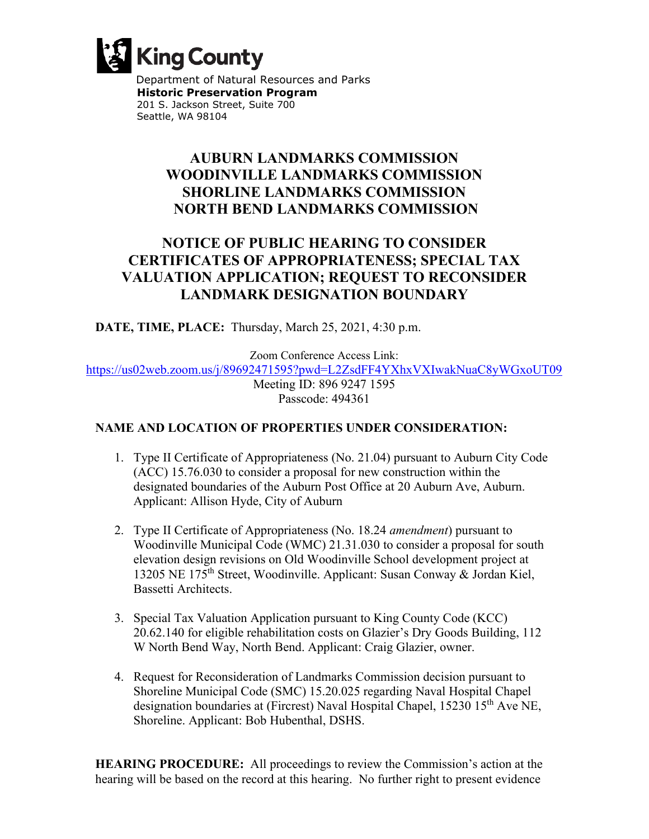

Department of Natural Resources and Parks  **Historic Preservation Program**  201 S. Jackson Street, Suite 700 Seattle, WA 98104

## **AUBURN LANDMARKS COMMISSION WOODINVILLE LANDMARKS COMMISSION SHORLINE LANDMARKS COMMISSION NORTH BEND LANDMARKS COMMISSION**

## **NOTICE OF PUBLIC HEARING TO CONSIDER CERTIFICATES OF APPROPRIATENESS; SPECIAL TAX VALUATION APPLICATION; REQUEST TO RECONSIDER LANDMARK DESIGNATION BOUNDARY**

**DATE, TIME, PLACE:** Thursday, March 25, 2021, 4:30 p.m.

Zoom Conference Access Link:

<https://us02web.zoom.us/j/89692471595?pwd=L2ZsdFF4YXhxVXIwakNuaC8yWGxoUT09>

Meeting ID: 896 9247 1595 Passcode: 494361

## **NAME AND LOCATION OF PROPERTIES UNDER CONSIDERATION:**

- 1. Type II Certificate of Appropriateness (No. 21.04) pursuant to Auburn City Code (ACC) 15.76.030 to consider a proposal for new construction within the designated boundaries of the Auburn Post Office at 20 Auburn Ave, Auburn. Applicant: Allison Hyde, City of Auburn
- 2. Type II Certificate of Appropriateness (No. 18.24 *amendment*) pursuant to Woodinville Municipal Code (WMC) 21.31.030 to consider a proposal for south elevation design revisions on Old Woodinville School development project at 13205 NE 175th Street, Woodinville. Applicant: Susan Conway & Jordan Kiel, Bassetti Architects.
- 3. Special Tax Valuation Application pursuant to King County Code (KCC) 20.62.140 for eligible rehabilitation costs on Glazier's Dry Goods Building, 112 W North Bend Way, North Bend. Applicant: Craig Glazier, owner.
- 4. Request for Reconsideration of Landmarks Commission decision pursuant to Shoreline Municipal Code (SMC) 15.20.025 regarding Naval Hospital Chapel designation boundaries at (Fircrest) Naval Hospital Chapel, 15230 15<sup>th</sup> Ave NE, Shoreline. Applicant: Bob Hubenthal, DSHS.

**HEARING PROCEDURE:** All proceedings to review the Commission's action at the hearing will be based on the record at this hearing. No further right to present evidence